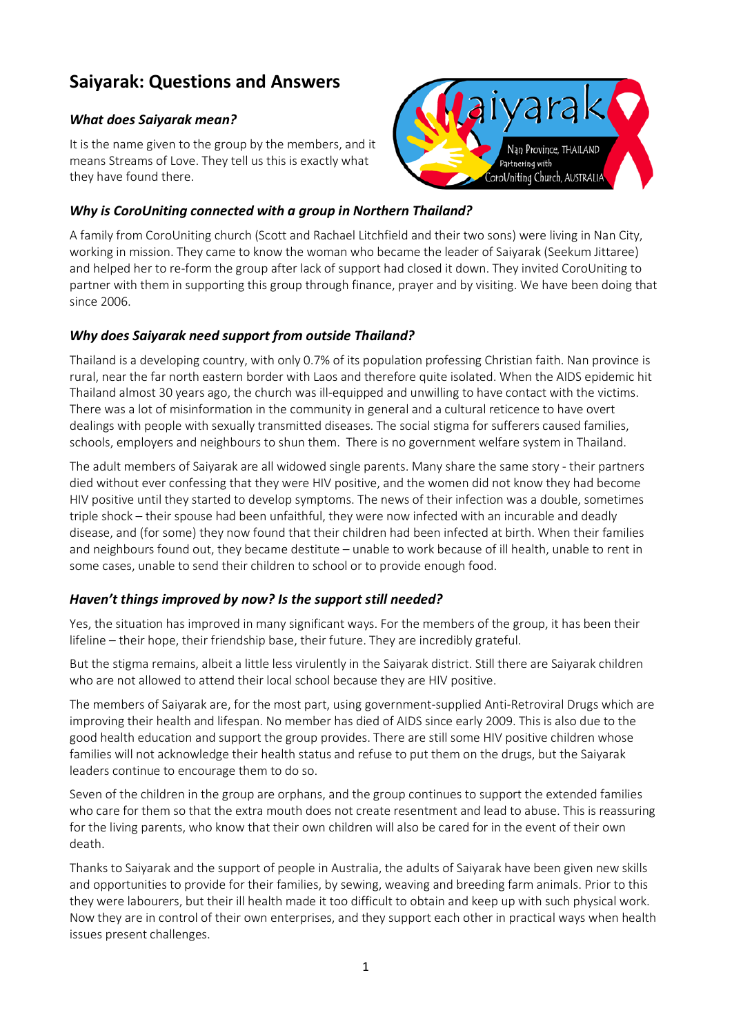# **Saiyarak: Questions and Answers**

#### *What does Saiyarak mean?*

It is the name given to the group by the members, and it means Streams of Love. They tell us this is exactly what they have found there.

## *Why is CoroUniting connected with a group in Northern Thailand?*

A family from CoroUniting church (Scott and Rachael Litchfield and their two sons) were living in Nan City, working in mission. They came to know the woman who became the leader of Saiyarak (Seekum Jittaree) and helped her to re-form the group after lack of support had closed it down. They invited CoroUniting to partner with them in supporting this group through finance, prayer and by visiting. We have been doing that since 2006.

### *Why does Saiyarak need support from outside Thailand?*

Thailand is a developing country, with only 0.7% of its population professing Christian faith. Nan province is rural, near the far north eastern border with Laos and therefore quite isolated. When the AIDS epidemic hit Thailand almost 30 years ago, the church was ill-equipped and unwilling to have contact with the victims. There was a lot of misinformation in the community in general and a cultural reticence to have overt dealings with people with sexually transmitted diseases. The social stigma for sufferers caused families, schools, employers and neighbours to shun them. There is no government welfare system in Thailand.

The adult members of Saiyarak are all widowed single parents. Many share the same story - their partners died without ever confessing that they were HIV positive, and the women did not know they had become HIV positive until they started to develop symptoms. The news of their infection was a double, sometimes triple shock – their spouse had been unfaithful, they were now infected with an incurable and deadly disease, and (for some) they now found that their children had been infected at birth. When their families and neighbours found out, they became destitute – unable to work because of ill health, unable to rent in some cases, unable to send their children to school or to provide enough food.

#### *Haven't things improved by now? Is the support still needed?*

Yes, the situation has improved in many significant ways. For the members of the group, it has been their lifeline – their hope, their friendship base, their future. They are incredibly grateful.

But the stigma remains, albeit a little less virulently in the Saiyarak district. Still there are Saiyarak children who are not allowed to attend their local school because they are HIV positive.

The members of Saiyarak are, for the most part, using government-supplied Anti-Retroviral Drugs which are improving their health and lifespan. No member has died of AIDS since early 2009. This is also due to the good health education and support the group provides. There are still some HIV positive children whose families will not acknowledge their health status and refuse to put them on the drugs, but the Saiyarak leaders continue to encourage them to do so.

Seven of the children in the group are orphans, and the group continues to support the extended families who care for them so that the extra mouth does not create resentment and lead to abuse. This is reassuring for the living parents, who know that their own children will also be cared for in the event of their own death.

Thanks to Saiyarak and the support of people in Australia, the adults of Saiyarak have been given new skills and opportunities to provide for their families, by sewing, weaving and breeding farm animals. Prior to this they were labourers, but their ill health made it too difficult to obtain and keep up with such physical work. Now they are in control of their own enterprises, and they support each other in practical ways when health issues present challenges.

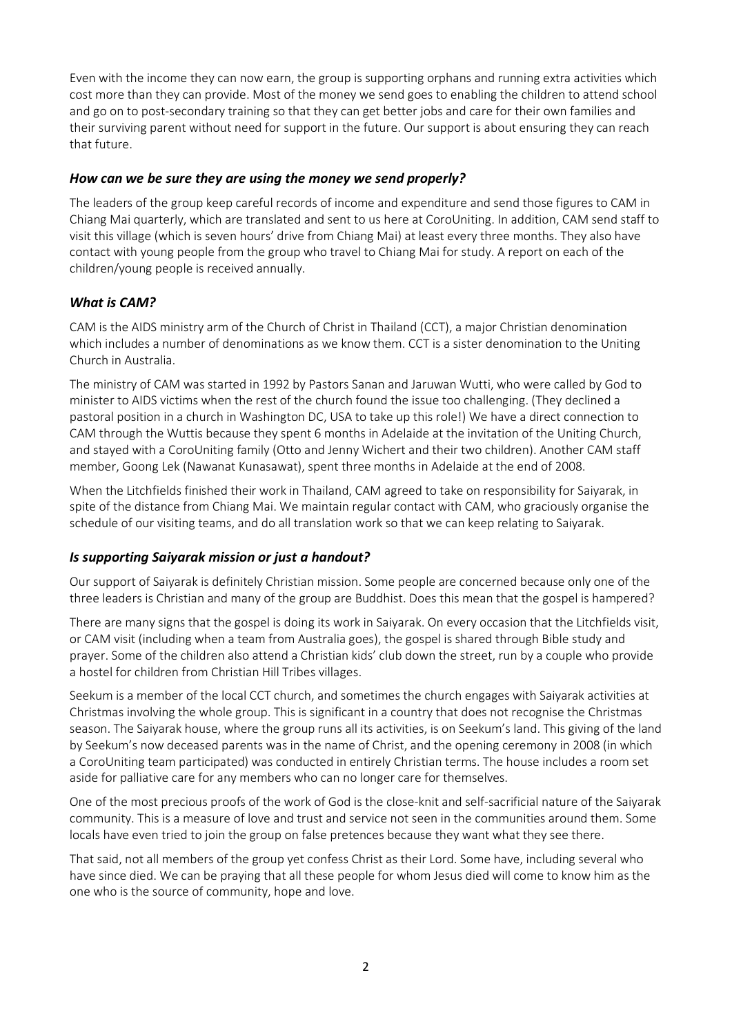Even with the income they can now earn, the group is supporting orphans and running extra activities which cost more than they can provide. Most of the money we send goes to enabling the children to attend school and go on to post-secondary training so that they can get better jobs and care for their own families and their surviving parent without need for support in the future. Our support is about ensuring they can reach that future.

#### *How can we be sure they are using the money we send properly?*

The leaders of the group keep careful records of income and expenditure and send those figures to CAM in Chiang Mai quarterly, which are translated and sent to us here at CoroUniting. In addition, CAM send staff to visit this village (which is seven hours' drive from Chiang Mai) at least every three months. They also have contact with young people from the group who travel to Chiang Mai for study. A report on each of the children/young people is received annually.

#### *What is CAM?*

CAM is the AIDS ministry arm of the Church of Christ in Thailand (CCT), a major Christian denomination which includes a number of denominations as we know them. CCT is a sister denomination to the Uniting Church in Australia.

The ministry of CAM was started in 1992 by Pastors Sanan and Jaruwan Wutti, who were called by God to minister to AIDS victims when the rest of the church found the issue too challenging. (They declined a pastoral position in a church in Washington DC, USA to take up this role!) We have a direct connection to CAM through the Wuttis because they spent 6 months in Adelaide at the invitation of the Uniting Church, and stayed with a CoroUniting family (Otto and Jenny Wichert and their two children). Another CAM staff member, Goong Lek (Nawanat Kunasawat), spent three months in Adelaide at the end of 2008.

When the Litchfields finished their work in Thailand, CAM agreed to take on responsibility for Saiyarak, in spite of the distance from Chiang Mai. We maintain regular contact with CAM, who graciously organise the schedule of our visiting teams, and do all translation work so that we can keep relating to Saiyarak.

#### *Is supporting Saiyarak mission or just a handout?*

Our support of Saiyarak is definitely Christian mission. Some people are concerned because only one of the three leaders is Christian and many of the group are Buddhist. Does this mean that the gospel is hampered?

There are many signs that the gospel is doing its work in Saiyarak. On every occasion that the Litchfields visit, or CAM visit (including when a team from Australia goes), the gospel is shared through Bible study and prayer. Some of the children also attend a Christian kids' club down the street, run by a couple who provide a hostel for children from Christian Hill Tribes villages.

Seekum is a member of the local CCT church, and sometimes the church engages with Saiyarak activities at Christmas involving the whole group. This is significant in a country that does not recognise the Christmas season. The Saiyarak house, where the group runs all its activities, is on Seekum's land. This giving of the land by Seekum's now deceased parents was in the name of Christ, and the opening ceremony in 2008 (in which a CoroUniting team participated) was conducted in entirely Christian terms. The house includes a room set aside for palliative care for any members who can no longer care for themselves.

One of the most precious proofs of the work of God is the close-knit and self-sacrificial nature of the Saiyarak community. This is a measure of love and trust and service not seen in the communities around them. Some locals have even tried to join the group on false pretences because they want what they see there.

That said, not all members of the group yet confess Christ as their Lord. Some have, including several who have since died. We can be praying that all these people for whom Jesus died will come to know him as the one who is the source of community, hope and love.